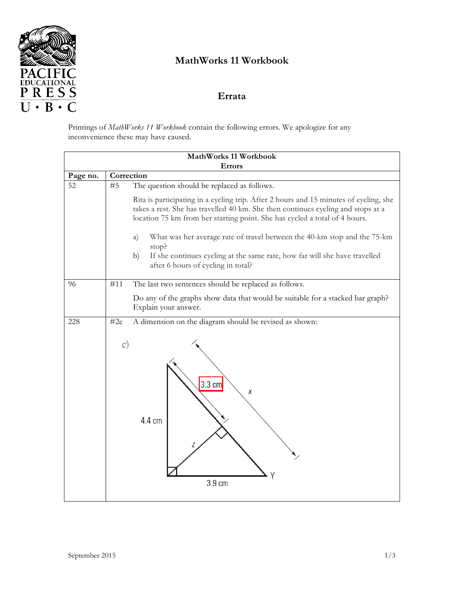

## **MathWorks 11 Workbook**

## **Errata**

Printings of *MathWorks 11 Workbook* contain the following errors. We apologize for any inconvenience these may have caused.

| MathWorks 11 Workbook<br><b>Errors</b> |                                                                                                                                                                                                                                                         |  |
|----------------------------------------|---------------------------------------------------------------------------------------------------------------------------------------------------------------------------------------------------------------------------------------------------------|--|
| Page no.                               | Correction                                                                                                                                                                                                                                              |  |
| 52                                     | The question should be replaced as follows.<br>#5                                                                                                                                                                                                       |  |
|                                        | Rita is participating in a cycling trip. After 2 hours and 15 minutes of cycling, she<br>takes a rest. She has travelled 40 km. She then continues cycling and stops at a<br>location 75 km from her starting point. She has cycled a total of 4 hours. |  |
|                                        | What was her average rate of travel between the 40-km stop and the 75-km<br>a)<br>stop?                                                                                                                                                                 |  |
|                                        | If she continues cycling at the same rate, how far will she have travelled<br>b)<br>after 6 hours of cycling in total?                                                                                                                                  |  |
| 96                                     | #11<br>The last two sentences should be replaced as follows.                                                                                                                                                                                            |  |
|                                        | Do any of the graphs show data that would be suitable for a stacked bar graph?<br>Explain your answer.                                                                                                                                                  |  |
| 228                                    | #2c<br>A dimension on the diagram should be revised as shown:                                                                                                                                                                                           |  |
|                                        | $\mathbf{c})$<br>$3.3 \text{ cm}$<br>Χ<br>4.4 cm<br>3.9 cm                                                                                                                                                                                              |  |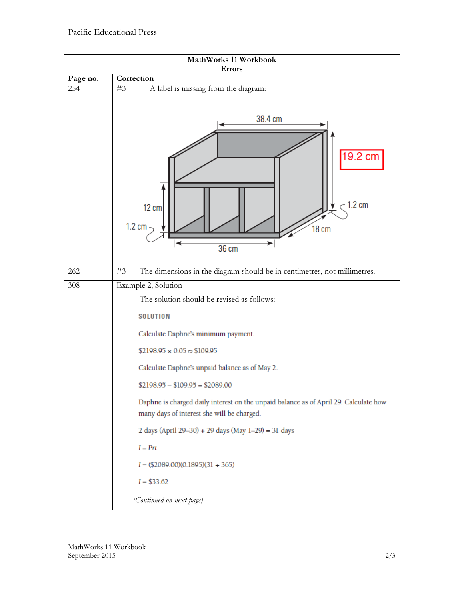